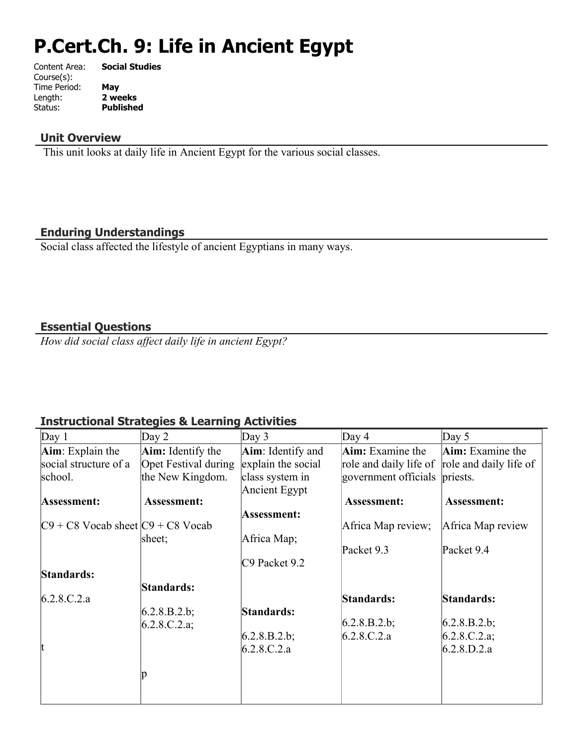# **P.Cert.Ch. 9: Life in Ancient Egypt**

| Content Area: | <b>Social Studies</b> |
|---------------|-----------------------|
| Course(s):    |                       |
| Time Period:  | May                   |
| Length:       | 2 weeks               |
| Status:       | <b>Published</b>      |
|               |                       |

#### **Unit Overview**

This unit looks at daily life in Ancient Egypt for the various social classes.

#### **Enduring Understandings**

Social class affected the lifestyle of ancient Egyptians in many ways.

#### **Essential Questions**

*How did social class affect daily life in ancient Egypt?*

# **Instructional Strategies & Learning Activities**

| Day $1$                               | Day $2$                     | Day $3$            | Day 4                                         | Day $5$                 |
|---------------------------------------|-----------------------------|--------------------|-----------------------------------------------|-------------------------|
| Aim: Explain the                      | <b>Aim:</b> Identify the    | Aim: Identify and  | <b>Aim:</b> Examine the                       | <b>Aim:</b> Examine the |
| social structure of a                 | <b>Opet Festival during</b> | explain the social | role and daily life of role and daily life of |                         |
| school.                               | the New Kingdom.            | class system in    | government officials priests.                 |                         |
|                                       |                             | Ancient Egypt      |                                               |                         |
| Assessment:                           | <b>Assessment:</b>          |                    | <b>Assessment:</b>                            | <b>Assessment:</b>      |
|                                       |                             | Assessment:        |                                               |                         |
| $C9 + C8$ Vocab sheet $C9 + C8$ Vocab |                             |                    | Africa Map review;                            | Africa Map review       |
|                                       | sheet;                      | Africa Map;        |                                               |                         |
|                                       |                             |                    | Packet 9.3                                    | Packet 9.4              |
|                                       |                             | C9 Packet 9.2      |                                               |                         |
| Standards:                            |                             |                    |                                               |                         |
|                                       | Standards:                  |                    |                                               |                         |
| 6.2.8.C.2.a                           |                             |                    | Standards:                                    | Standards:              |
|                                       | 6.2.8.B.2.b;                | Standards:         |                                               |                         |
|                                       | 6.2.8.C.2.a;                |                    | 6.2.8.B.2.b;                                  | 6.2.8.B.2.b;            |
|                                       |                             | 6.2.8.B.2.b;       | 6.2.8.C.2.a                                   | 6.2.8.C.2.a;            |
|                                       |                             | 6.2.8.C.2.a        |                                               | 6.2.8.D.2.a             |
|                                       |                             |                    |                                               |                         |
|                                       |                             |                    |                                               |                         |
|                                       |                             |                    |                                               |                         |
|                                       |                             |                    |                                               |                         |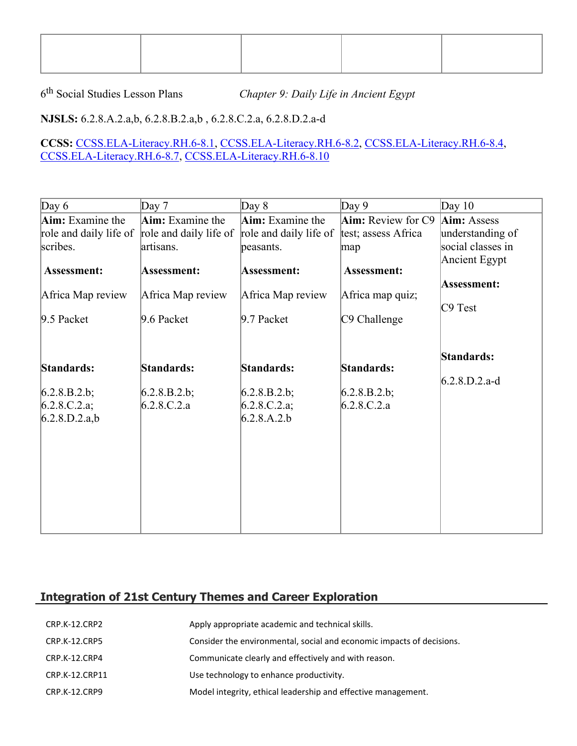6<sup>th</sup> Social Studies Lesson Plans

Chapter 9: Daily Life in Ancient Egypt

# **NJSLS:** 6.2.8.A.2.a,b, 6.2.8.B.2.a,b , 6.2.8.C.2.a, 6.2.8.D.2.a-d

#### **CCSS:** [CCSS.ELA-Literacy.RH.6-8.1,](http://www.corestandards.org/ELA-Literacy/RH/6-8/1/) [CCSS.ELA-Literacy.RH.6-8.2](http://www.corestandards.org/ELA-Literacy/RH/6-8/2/), [CCSS.ELA-Literacy.RH.6-8.4,](http://www.corestandards.org/ELA-Literacy/RH/6-8/4/) [CCSS.ELA-Literacy.RH.6-8.7](http://www.corestandards.org/ELA-Literacy/RH/6-8/7/), [CCSS.ELA-Literacy.RH.6-8.10](http://www.corestandards.org/ELA-Literacy/RH/6-8/10/)

| Day $6$           | Day $7$                                       | Day $8$                | Day $9$                   | Day $10$          |
|-------------------|-----------------------------------------------|------------------------|---------------------------|-------------------|
| Aim: Examine the  | Aim: Examine the                              | Aim: Examine the       | <b>Aim:</b> Review for C9 | Aim: Assess       |
|                   | role and daily life of role and daily life of | role and daily life of | test; assess Africa       | understanding of  |
| scribes.          | artisans.                                     | peasants.              | map                       | social classes in |
|                   |                                               |                        |                           | Ancient Egypt     |
| Assessment:       | Assessment:                                   | Assessment:            | Assessment:               |                   |
|                   |                                               |                        |                           | Assessment:       |
| Africa Map review | Africa Map review                             | Africa Map review      | Africa map quiz;          | C9 Test           |
| 9.5 Packet        | 9.6 Packet                                    | $9.7$ Packet           | C9 Challenge              |                   |
|                   |                                               |                        |                           |                   |
|                   |                                               |                        |                           |                   |
|                   |                                               |                        |                           | Standards:        |
| Standards:        | Standards:                                    | Standards:             | Standards:                |                   |
|                   |                                               |                        |                           | $6.2.8.D.2.a-d$   |
| 6.2.8.B.2.b;      | 6.2.8.B.2.b;                                  | $(6.2.8.B.2.b)$ ;      | 6.2.8.B.2.b;              |                   |
| 6.2.8.C.2.a;      | 6.2.8.C.2.a                                   | 6.2.8.C.2.a;           | 6.2.8.C.2.a               |                   |
| 6.2.8.D.2.a,b     |                                               | 6.2.8.A.2.b            |                           |                   |
|                   |                                               |                        |                           |                   |
|                   |                                               |                        |                           |                   |
|                   |                                               |                        |                           |                   |
|                   |                                               |                        |                           |                   |
|                   |                                               |                        |                           |                   |
|                   |                                               |                        |                           |                   |
|                   |                                               |                        |                           |                   |
|                   |                                               |                        |                           |                   |

# **Integration of 21st Century Themes and Career Exploration**

| CRP.K-12.CRP2        | Apply appropriate academic and technical skills.                      |
|----------------------|-----------------------------------------------------------------------|
| <b>CRP.K-12.CRP5</b> | Consider the environmental, social and economic impacts of decisions. |
| CRP.K-12.CRP4        | Communicate clearly and effectively and with reason.                  |
| CRP.K-12.CRP11       | Use technology to enhance productivity.                               |
| CRP.K-12.CRP9        | Model integrity, ethical leadership and effective management.         |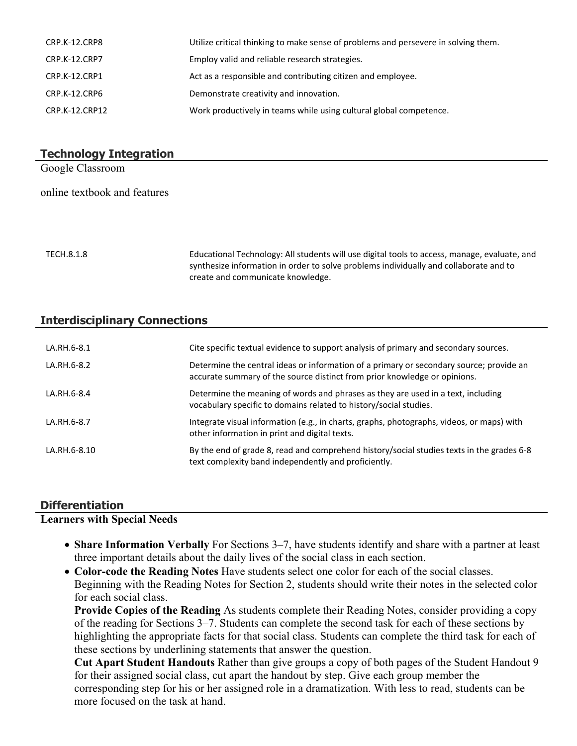| CRP.K-12.CRP8  | Utilize critical thinking to make sense of problems and persevere in solving them. |
|----------------|------------------------------------------------------------------------------------|
| CRP.K-12.CRP7  | Employ valid and reliable research strategies.                                     |
| CRP.K-12.CRP1  | Act as a responsible and contributing citizen and employee.                        |
| CRP.K-12.CRP6  | Demonstrate creativity and innovation.                                             |
| CRP.K-12.CRP12 | Work productively in teams while using cultural global competence.                 |

#### **Technology Integration**

Google Classroom

online textbook and features

TECH.8.1.8 Educational Technology: All students will use digital tools to access, manage, evaluate, and synthesize information in order to solve problems individually and collaborate and to create and communicate knowledge.

#### **Interdisciplinary Connections**

| LA.RH.6-8.1  | Cite specific textual evidence to support analysis of primary and secondary sources.                                                                                 |
|--------------|----------------------------------------------------------------------------------------------------------------------------------------------------------------------|
| LA.RH.6-8.2  | Determine the central ideas or information of a primary or secondary source; provide an<br>accurate summary of the source distinct from prior knowledge or opinions. |
| LA.RH.6-8.4  | Determine the meaning of words and phrases as they are used in a text, including<br>vocabulary specific to domains related to history/social studies.                |
| LA.RH.6-8.7  | Integrate visual information (e.g., in charts, graphs, photographs, videos, or maps) with<br>other information in print and digital texts.                           |
| LA.RH.6-8.10 | By the end of grade 8, read and comprehend history/social studies texts in the grades 6-8<br>text complexity band independently and proficiently.                    |

#### **Differentiation**

#### **Learners with Special Needs**

- **Share Information Verbally** For Sections 3–7, have students identify and share with a partner at least three important details about the daily lives of the social class in each section.
- **Color-code the Reading Notes** Have students select one color for each of the social classes. Beginning with the Reading Notes for Section 2, students should write their notes in the selected color for each social class.

**Provide Copies of the Reading** As students complete their Reading Notes, consider providing a copy of the reading for Sections 3–7. Students can complete the second task for each of these sections by highlighting the appropriate facts for that social class. Students can complete the third task for each of these sections by underlining statements that answer the question.

**Cut Apart Student Handouts** Rather than give groups a copy of both pages of the Student Handout 9 for their assigned social class, cut apart the handout by step. Give each group member the corresponding step for his or her assigned role in a dramatization. With less to read, students can be more focused on the task at hand.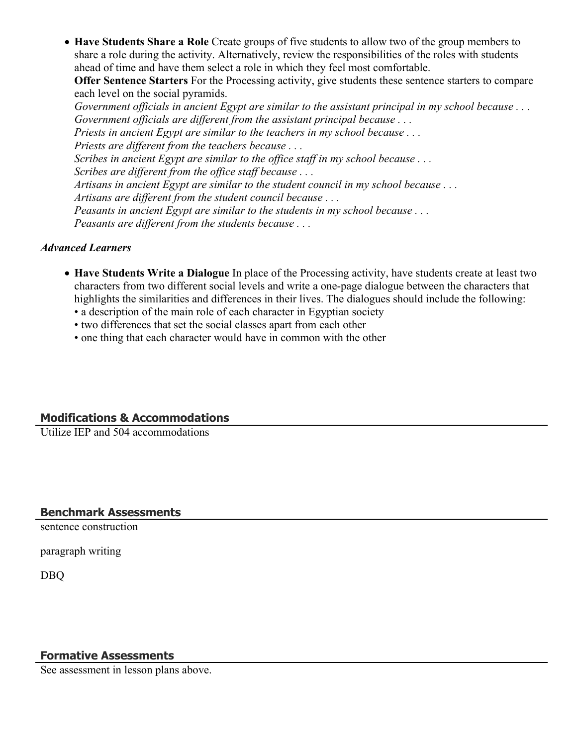**Have Students Share a Role** Create groups of five students to allow two of the group members to share a role during the activity. Alternatively, review the responsibilities of the roles with students ahead of time and have them select a role in which they feel most comfortable.

**Offer Sentence Starters** For the Processing activity, give students these sentence starters to compare each level on the social pyramids.

*Government officials in ancient Egypt are similar to the assistant principal in my school because . . . Government officials are different from the assistant principal because . . . Priests in ancient Egypt are similar to the teachers in my school because . . . Priests are different from the teachers because . . . Scribes in ancient Egypt are similar to the office staff in my school because . . . Scribes are different from the office staff because . . . Artisans in ancient Egypt are similar to the student council in my school because . . . Artisans are different from the student council because . . . Peasants in ancient Egypt are similar to the students in my school because . . . Peasants are different from the students because . . .*

#### *Advanced Learners*

- **Have Students Write a Dialogue** In place of the Processing activity, have students create at least two characters from two different social levels and write a one-page dialogue between the characters that highlights the similarities and differences in their lives. The dialogues should include the following:
	- a description of the main role of each character in Egyptian society
	- two differences that set the social classes apart from each other
	- one thing that each character would have in common with the other

### **Modifications & Accommodations**

Utilize IEP and 504 accommodations

#### **Benchmark Assessments**

sentence construction

paragraph writing

DBQ

#### **Formative Assessments**

See assessment in lesson plans above.